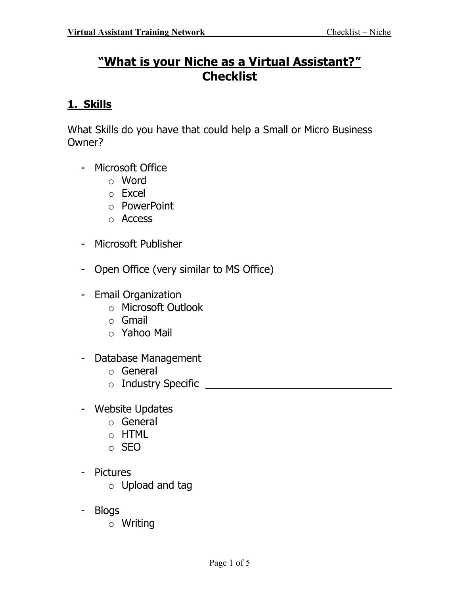# "What is your Niche as a Virtual Assistant?" **Checklist**

### 1. Skills

What Skills do you have that could help a Small or Micro Business Owner?

- Microsoft Office
	- o Word
	- o Excel
	- o PowerPoint
	- o Access
- Microsoft Publisher
- Open Office (very similar to MS Office)
- Email Organization
	- o Microsoft Outlook
	- o Gmail
	- o Yahoo Mail
- Database Management
	- o General
	- o Industry Specific
- Website Updates
	- o General
	- o HTML
	- o SEO
- Pictures
	- o Upload and tag
- Blogs
	- o Writing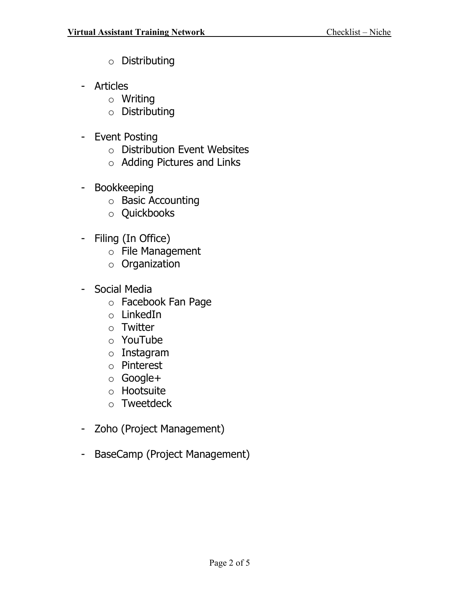- o Distributing
- Articles
	- o Writing
	- o Distributing
- Event Posting
	- o Distribution Event Websites
	- o Adding Pictures and Links
- Bookkeeping
	- o Basic Accounting
	- o Quickbooks
- Filing (In Office)
	- o File Management
	- o Organization
- Social Media
	- o Facebook Fan Page
	- o LinkedIn
	- o Twitter
	- o YouTube
	- o Instagram
	- o Pinterest
	- o Google+
	- o Hootsuite
	- o Tweetdeck
- Zoho (Project Management)
- BaseCamp (Project Management)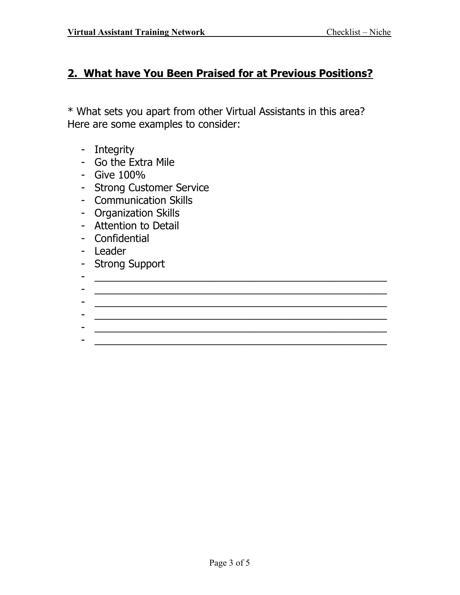#### 2. What have You Been Praised for at Previous Positions?

\* What sets you apart from other Virtual Assistants in this area? Here are some examples to consider:

- Integrity
- Go the Extra Mile
- Give 100%
- Strong Customer Service
- Communication Skills
- Organization Skills
- Attention to Detail
- Confidential
- Leader
- Strong Support
- \_\_\_\_\_\_\_\_\_\_\_\_\_\_\_\_\_\_\_\_\_\_\_\_\_\_\_\_\_\_\_\_\_\_\_\_\_\_\_\_\_\_\_\_\_\_\_\_\_\_\_ - \_\_\_\_\_\_\_\_\_\_\_\_\_\_\_\_\_\_\_\_\_\_\_\_\_\_\_\_\_\_\_\_\_\_\_\_\_\_\_\_\_\_\_\_\_\_\_\_\_\_\_
- \_\_\_\_\_\_\_\_\_\_\_\_\_\_\_\_\_\_\_\_\_\_\_\_\_\_\_\_\_\_\_\_\_\_\_\_\_\_\_\_\_\_\_\_\_\_\_\_\_\_\_
- \_\_\_\_\_\_\_\_\_\_\_\_\_\_\_\_\_\_\_\_\_\_\_\_\_\_\_\_\_\_\_\_\_\_\_\_\_\_\_\_\_\_\_\_\_\_\_\_\_\_\_ - \_\_\_\_\_\_\_\_\_\_\_\_\_\_\_\_\_\_\_\_\_\_\_\_\_\_\_\_\_\_\_\_\_\_\_\_\_\_\_\_\_\_\_\_\_\_\_\_\_\_\_

- \_\_\_\_\_\_\_\_\_\_\_\_\_\_\_\_\_\_\_\_\_\_\_\_\_\_\_\_\_\_\_\_\_\_\_\_\_\_\_\_\_\_\_\_\_\_\_\_\_\_\_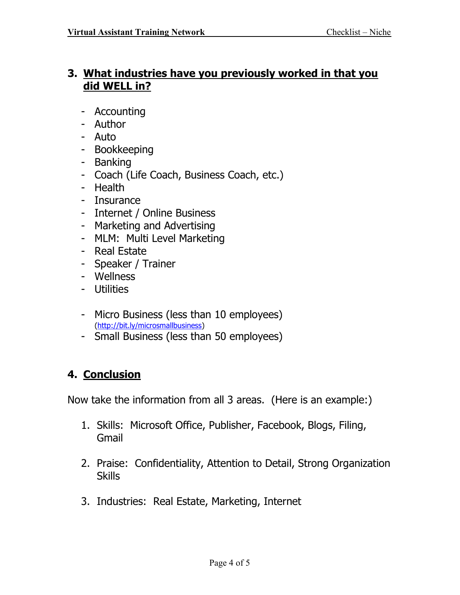#### 3. What industries have you previously worked in that you did WELL in?

- Accounting
- Author
- Auto
- Bookkeeping
- Banking
- Coach (Life Coach, Business Coach, etc.)
- Health
- Insurance
- Internet / Online Business
- Marketing and Advertising
- MLM: Multi Level Marketing
- Real Estate
- Speaker / Trainer
- Wellness
- Utilities
- Micro Business (less than 10 employees) (http://bit.ly/microsmallbusiness)
- Small Business (less than 50 employees)

## 4. Conclusion

Now take the information from all 3 areas. (Here is an example:)

- 1. Skills: Microsoft Office, Publisher, Facebook, Blogs, Filing, Gmail
- 2. Praise: Confidentiality, Attention to Detail, Strong Organization **Skills**
- 3. Industries: Real Estate, Marketing, Internet